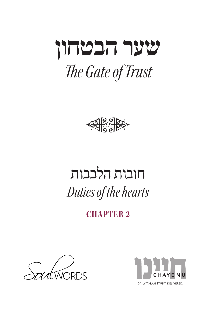



## חובות הלבבות *Duties of the hearts*

**—2 CHAPTER—**



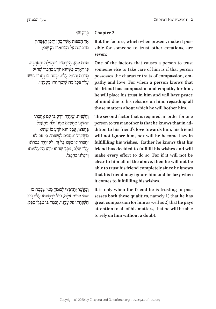## **2 Chapter** ׁ פֶּ רֶ ק שֵ נִ י

ְּ אַךְ הַפִּבּוֹת אֲשֶׁר בָּהֶן יִתְּכֵן הַבִּטְּחוֹן ֹ מֵ הַ בּ ו ּ טֵ חַ עַ ל הַ בְּ רו ׁ אִ ים הֵ ן שֶ בַ ע.

אַחַת מֵהֶן, הָרַחֲמִים וְהַחֶמְלָה וְהָאַהֲבָה. **ֿכי האדם כשהוא יודע בחברו שהוא** ֹמְרַחֵם וְחוֹמֵל עָלֵיו, יִבְטַח בּוֹ וְתָנוּחַ נַפְשׁוֹ ּׁ עָ לָ יו בְּ כָ ל מַ ה שּ ֶ י ּ ַטְ רִ יחֵ הו ִ מֵ ענְ יָנָ יו.

וְהַשֵּׁנִית, שֵׁיְהָיֶה יוֹדֵעַ בּוֹ עָם אַהֲבָתוֹ שׁאֵינֶנּוּ מִתְעַלֵּם מִמְנּוּ וְלֹא מִתְעָצֵל בְּחֲפְצוֹ, אֲבָל הוּא יוֹדֵעָ בּוֹ שֵׁהוּא ׁמִ ש ּ ְ ת ַּ ד ּ ֵ ל ו ּ מַ סְ כ ִׂ ים לַ עֲ שֹו ֹתו ּ . כִ י אִ ם לֹא יִתְבַּרֵר לוֹ מִמְּנּוּ כַּל זֶה, לֹא יָהָיֶה בִּטְחוֹנוֹ ֿעַלַיו שָׁלֵם, מִפְּנֵי שֵׁהוּא יוֹדֵעַ הִתְעַלְּמוּתו ֹ וְ רִ פְ יו ֹנו ֹ בְּ חֶ פְ צו.

וְכַאֲשֶׁר יְתִקְבָּצוּ לַבּוֹטֵחַ מִמִּי שַׁבַּטַח בּוֹ שְׁתֵי מִדּוֹת אֵלֶּה, גֹּדֵל רַחֲמֲנוּתוֹ עָלֵיו וְרֹב הַשָּׁגַחַתוֹ עַל עַנְיָנֵיו, יִבְטֵח בּוֹ מִבְּלִי סַפֵּק.

But the factors, which when present, make it possible for someone to trust other creations, are  **:seven**

One of the factors that causes a person to trust someone else to take care of him is if that person pathy and love. For when a person knows that possesses the character traits of compassion, emhis friend has compassion and empathy for him, he will place his trust in him and will have peace  **all** of mind due to his reliance on him, regarding all those matters about which he will bother him.

The second factor that is required, in order for one dition to his friend's love towards him, his friend person to trust another is that he knows that in adwill not ignore him, nor will he become lazy in fulfillling his wishes. Rather he knows that his friend has decided to fulfillll his wishes and will make every effort to do so. For if it will not be clear to him all of the above, then he will not be able to trust his friend completely since he knows that his friend may ignore him and be lazy when it comes to fulfillling his wishes.

sesses both these qualities, namely 1) that he has It is only when the friend he is trusting in pos**great compassion for him as well as 2) that he pays** attention to all of his matters, that he will be able to rely on him without a doubt.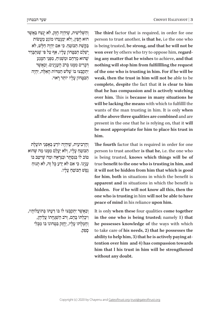The third factor that is required, in order for one person to trust another, is that he, i.e the one who is being trusted, be strong, and that he will not be  $t$  ing any matter that he wishes to achieve, and that won over by others who try to oppose him, regardnothing will stop him from fulfillling the request of the one who is trusting in him. For if he will be weak, then the trust in him will not be able to be complete, despite the fact that it is clear to him that he has compassion and is actively watching *b* **over him.** This is because in many situations he will be lacking the means with which to fulfilll the wants of the man trusting in him. It is only when all the above three qualities are combined and are present in the one that he is relying on, that it will be most appropriate for him to place his trust in  **.him**

The fourth factor that is required in order for one person to trust another is that he, i.e. the one who is being trusted, knows which things will be of true benefit to the one who is trusting in him, and it will not be hidden from him that which is good for him, both in situations in which the benefit is apparent and in situations in which the benefit is **hidden.** For if he will not know all this, then the **have one who is trusting in him will not be able to have peace** of mind in his reliance upon him.

It is only when these four qualities come together in the one who is being trusted; namely 1) that he possesses knowledge of the ways with which to take care of his needs, 2) that he possesses the tention over him and 4) has compassion towards ability to help him, 3) that he is actively paying athim that I his trust in him will be strengthened without any doubt.

וְהַשְׁלִישִׁית, שַׁיִּהְיֶה חֲזֵק, לֹא יְנַצַּח בַּאֲשֵׁר הוּא חַפֵּץ, וְלֹא יִמְנַעֲהוּ מוֹנֵעַ מֵעֲשׂוֹת ּבַּ ק ׁש ַֹ ת הַ בּ ו ּ טֵ חַ . כ ִּ י אִ ם יִהְ יֶה חַ ל ָׁ ש, לֹא ָ יִשְׁלַם הַבִּטֲחוֹן עָלָיו, אַף עַל פִּי שֵׁנִּתְבַּרֵר שְׁהוּא מְרַחֵם וּמַשְׁגִּיהַ, מִפְּנֵי הִמְּנַע **ִּדְבַרִים מִמֵּנוּ בְּרֹב הָעָנְיָנִים. וְכַאֲשֶׁר** יִתְקַבְּצוּ בּוֹ שָׁלֹשׁ הַמְּדוֹת הָאֱלֶה, יִהְיֶה ּהַ בִּ ט ֹ ָ חו ֹ ן עָ לָ יו יו ּ תֵ ר רָ אוי.

וְהַרְבְיעִית, שֵׁיְהָיֶה יוֹדֵעָ בְּאֵפְּנֵי תּוֹעָלֶת הַבּוֹטֵחַ עַלֵיו, וְלֹא יֵעָלָם מִמֵּנּוּ מֵה שֵׁהוּא וֹם לוֹ בּנסתר וּבנראה וּמה שִׁיּיטב בּוֹ ענְיֵנוֹ. כִּי אִם לֹא יֵדֵע כַּל זֶה, לֹא תֲנוּחַ נֶפֵ<sup>ּ</sup>שׁ הַבּוֹטֵחַ עָלֵיו.

ׁ וְ כַ אֲ ש ַ ֶ ר יִתְ ק ּ בְּ צו ֹ לו ֹ בּ ו ּ ד ְ ַ ע ּתֹו ֹ בְּ תו ֹעֲ לותָ יו, ּ וִ יכָ לְ תֹו בָּ הֶ ם, וְ רֹ ׁ ב הַ שּ ְ ג ֹ ָ חָ תו עֲ לֵ יהֶ ן, וְחֵמְלַתוֹ עַלִיו, יֶחֱזַק בִּמְחוֹנוֹ בּוֹ מִבְּלִי ספק.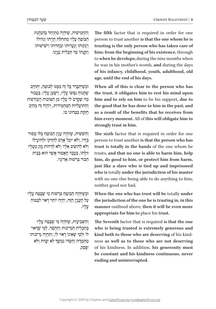וְהַחֲמִישִׁית, שֵׁיִּהְיֶה מִתְיַחֵד בְּהַנְהָנֵת הַבּוֹטֵחַ עָלֵיו מִתְּחִלַּת הָוַיִתוֹ וְגִדּוּלוֹ וְיַנְקוּתוֹ וְנַעֲרוּתוֹ וּבַחֲרוּתוֹ וִישִׁישׁוּתוֹ וְזִקְנַתוֹ עַד תַּכְלִית עַנְיַנוֹ.

וּכִשׁיּתִבּרר כּל זה מִמְּנּוּ לִבּוֹטֵה, יִתְחִיב שִׁתְּנוּחַ נַפְשׁוֹ עַלֵיו, וְיִשְׁעָן עַלִיו, בַּעֲבוּר מַה שֶׁקְרַם לוֹ עָלְיו מִן הַטּוֹבוֹת הָעוֹדְפוֹת וְהַתּוֹעֲלִיּוֹת הַמֵּתְמִידוֹת, וְיָהָיֶה זֶה מְחַיִּב חזקת במחונו בו.

וְהַשִּׁשִׁית, שֵׁיְהָיֵה עָנְיַן הַבּוֹטֵחַ כְּלוֹ מַסוּר בְּיָדוֹ, וְלֹא יוּכָל אָדָם לְהַזִּיקוֹ וּלְהוֹעָילוֹ ולֹא להיטיב אליו ולֹא לדחות נזק מעליו ווּלִתוֹ, כּעַבד האִסוּר אִשׁר הוּא בּבית הבּוֹר בּרִשׁוּת אדוֹנִיו.

וּכְשֵׁיִּהְיֶה הַבּוֹמֲחַ בְּרִשׁוּת מִי שֵׁבָּמַח עָלָיו ַ עַל הַעָנְיַן הַזֶּה, יִהְיֶה יוֹתֵר רָאוּי לִבְטוֹחַ עַליו.

וְהַשְּׁבִיעִית, שֵׁיְהָיָה מֵי שַׁבַּטַח עַלָיו בְּתַכְלִית הַנְּדִיבוּת וְהַחֵםֶד, לְמִי שֶׁרֵאוּי לוֹ וּלְמֵי שֵׁאֵינוֹ רֵאוּי לוֹ, וְתִהְיֶה נְדִיבוּתוֹ מַתְמֶרֶת וְחַסְדוֹ נִמְשָׁךְ לֹא יִכְרֵת וְלֹא יִפָּ סֵ ק. The fifth factor that is required in order for one person to trust another is that the one whom he is trusting is the only person who has taken care of him; from the beginning of his existence, through to when he develops; during the nine months when he was in his mother's womb, and during the days of his infancy, childhood, youth, adulthood, old age, until the end of his days.

When all of this is clear to the person who has the trust, it obligates him to rest his mind upon him and to rely on him to be his support, due to the good that he has done to him in the past, and as a result of the benefits that he receives from **him every moment.** All of this will obligate him to strongly trust in him.

The sixth factor that is required in order for one person to trust another is that the person who has trust is totally in the hands of the one whom he trusts, and that no one is able to harm him, help him, do good to him, or protect him from harm, just like a slave who is tied up and imprisoned who is totally under the jurisdiction of his master with no one else being able to do anything to him; here good nor bad.

When the one who has trust will be totally under the jurisdiction of the one he is trusting in, in this manner outlined above, then it will be even more **appropriate** for him to place his trust.

The Seventh factor that is required is that the one who is being trusted is extremely generous and ness as well as to those who are not deserving kind both to those who are deserving of his kindof his kindness. In addition, his generosity must **be constant and his kindness continuous, never ending** and uninterrupted.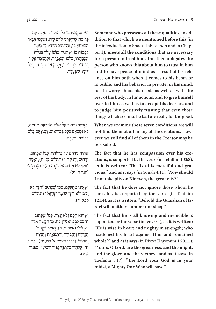dition to that which we mentioned before this (in Someone who possesses all these qualities, in adter 1), meets all the conditions that are necessary the introduction to Shaar Habitachon and in Chapfor a person to trust him. This then obligates the person who knows this about him to trust in him ance on him both when it comes to his behavior and to have peace of mind as a result of his reliin public and his behavior in private, in his mind; not to worry about his needs as well as with the rest of his body; in his actions, and to give himself over to him as well as to accept his decrees, and to judge him positively trusting that even those things which seem to be bad are really for the good.

When we examine these seven conditions, we will ever, we will find all of them in the Creator may he not find them at all in any of the creations. How**he** exalted.

ations, is supported by the verse (in Tehillim 103:8), The fact that he has compassion over his cre **should**  $\alpha$  **should**  $\alpha$  **should**  $\alpha$  **should**  $\alpha$ as it is written: "The Lord is merciful and gra-I not take pity on Nineveh, the great city?"

The fact that he does not ignore those whom he cares for, is supported by the verse (in Tehillim 121:4), as it is written: "Behold the Guardian of Is-<br>rael will neither slumber nor sleep."

The fact that he is all knowing and invincible is supported by the verse (in Iyov 9:4), as it is written: "He is wise in heart and mighty in strength; who hardened his heart against Him and remained  $\n$ **whole?"** and as it says (in Divrei Hayomim 1 29:11): "Yours, O Lord, are the greatness, and the might, and the glory, and the victory" and as it says (in Tzefania 3:17): "The Lord your God is in your midst, a Mighty One Who will save."

ּוּמִי שַׁנַּקִבְּצוּ בּוֹ כַּל הַמְּדּוֹת הַאֲלֶה עָם  $\epsilon$ ָ כְּל מֵה שֶׁהַזְכֵרנוּ קֹדֶם לַזֶה, נִשְׁלְמוּ תִּנְאֵי הַבְּטֵחוֹן בּוֹ, וְהִתְחַיָּב הַיּוֹדֵעָ זֶה מִמְּנּוּ ֹלְבְטוֹחַ בּוֹ וְשֶׁתֲנוּחַ נַפְשׁוֹ עָלָיו בְּגְלוּיוֹ וּבְנִסְתֵרוֹ, בְּלְבּוֹ וּבְאֶבְרִיו, וּלְהִמֵּסֵר אֱלֵיו וְלִרְצוֹת בְּגְזֵרוֹתָיו, וְלָדוּן אוֹתוֹ לְטוֹב בְּכָל ּד ּ ִ ינָ יו ומִ פְ עָ לָ יו.

ׁ וְ כַ אֲ ש ֹ ֶ ר נַ חְ קו ּ ר עַ ל אֵ ל ּׁ ֶ ה הַ ש ּ ִ בְ עָ ה תְ נָ אִ ים, לֹא נִמְצָאֵם כִּלַל בַּבְּרוּאִים, וְנִמְצָאֵם כָּלַּם בִּבּוֹרָא יִתְעַלָּה.

שׁהוּא מרחם על בריותיו, כמו שכתוב רחוּם וחנּוּן ה'" (תהלים קג, ח), ואמר "וַאֲנִי לֹא אַחוּם עַל נִינֵוָה הַעָיר הַגְּדוֹלַה" )יונה ד, יא(.

וְשָׁאֵינוֹ מִתְעַלֵּם, כִּמוֹ שֵׁכַּתוּב "הִנֵּה לֹא ּ יָנום וְ לֹ ׁ א יִיש ָׁ ן שֹו ׂ מֵ ר יִש ְ רָ אֵ ל" )תהלים קכא, ד).

וְשֵׁהוּא חַכָם וְלֹא יְנִצַּח, כְּמוֹ שֵׁכֵּתוּב ָ הֲכָם לֵבְב וְאַמִּיץ כֹּחַ, מִי הִקְשָּׁה אֵלְיו" וַיִּשְׁלָם" (איוב ט, ד), וְאָמַר "לְדָּ ה' הַגְּדְלָה וְהַגְּבוּרָה וְהַתְּפְאֶרֶת וְהַנֵּצַח וְהַהוֹד" (דברי הימים א' כט, יא), וכְתִיב ְה' אֱלֹהַיִךְ בְּקִרְבֵּךְ גִּבּוֹר יוֹשִׁיעַ" (צפניה" ְג, יז(.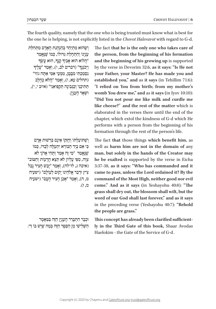The fourth quality, namely that the one who is being trusted must know what is best for the one he is helping, is not explicitly listed in the *Chovot Halevavot* with regard to G-d.

וֹשֵׁהוּא מִתִּיחד בַּהְנְהְגֶת הָאָדֶם מִתְּחַלֵּת ַ עִנְיָנוֹ וְהַתְחָלַת גִּדּוּלוֹ, כְּמוֹ שֶׁנֶאֱמַר<br>״הֲלוֹא הוּא אָבִיךְ קָנֶךְ, הוּא עָשְׂךָ ִָָיהֲלוֹא הוּא אָבִיךְ קְנֶךְ, הוּא עָשְׂךָ<br>וַיְכֹנְנֶךְ" (דברים לב, ו), וְאָמַר "עָלֶיךְ <sup>וַ</sup> נִסְמַכְתֵּי מִבְּמֵן, מִמְּעֵי אָמֵי אַתָּה גוֹזִי" (תהלים עא, ו), וְאָמֵר "הֲלֹא כֶחֲלָב ּת ּ ַ ת ִּ יכֵ נִ י וְ כַ ג ּ ְ בִ ינָ ה תְַ קפִּ יאֵ נִ י" )איוב י, י(, ּו ׁש ִ ְ אָ ר הָ ענְ יָן.

וְשַׁתּוֹעַלְתּוֹ וְהֵזֶקוֹ אֵינָם בִּרְשׁוּת אָדָם ּכִי אִם בְּיַד הַבּוֹרֵא יְתִעֲלֵה לְבָדוֹ, כְּמוֹ שׁנּאמר "מי זה אמר ותּהי אדֹני לֹא ּצִ ו ֹ ָ ה, מִ פִּ י עֶ לְ יון לֹ ֹ א תֵ צֵ א הָ רָ עו ּ ת וְ הַ טֹוב" (איכה ג, לז־לח), וְאָמֵר "יָבֵשׁ חֲצִיר נַבֶל ּ צִ יץ ודְ בַ ר אֱ לֹ ּ הֵ ינו ּ יָקו ֹ ם לְ עולָ ם" )ישעיה מ, ה), וְאֲמֵר "אֲכֵן חֲצִיר הָעֲם" (ישׁעִיה מ, ז(.

ּוּכְבָר הִתְבָרֵר הָעָנְיָן הַזֶּה בַּמַּאֲמֶר הַשְׁלִישִׁי מֵן הַסֵּפַר הַזָּה בְּמַה שַׁיֵּשׁ בּוֹ דֵי. The fact that he is the only one who takes care of the person, from the beginning of his formation and the beginning of his growing up is supported by the verse in Devorim 32:6, as it says: "Is He not your Father, your Master? He has made you and established you," and as it says (in Tehillim 71:6): "I relied on You from birth; from my mother's womb You drew me," and as it says (in Iyov 10:10): "Did You not pour me like milk and curdle me like cheese?" and the rest of the matter which is elaborated in the verses there until the end of the chapter, which extol the kindness of G-d which He performs with a person from the beginning of his formation through the rest of the person's life.

The fact that those things which benefit him, as well as harm him are not in the domain of any man, but solely in the hands of the Creator may he be exalted is supported by the verse in Eicha 3:37-38, as it says: "Who has commanded and it came to pass, unless the Lord ordained it? By the command of the Most High, neither good nor evil **come.**" And as it says (in Yeshayohu 40:8): "The grass shall dry out, the blossom shall wilt, but the word of our God shall last forever," and as it says in the preceding verse (Yeshayohu 40:7): "Behold the people are grass."

ly in the Third Gate of this book, Shaar Avodas This concept has already been clarified sufficient-Haelokim - the Gate of the Service of G-d.